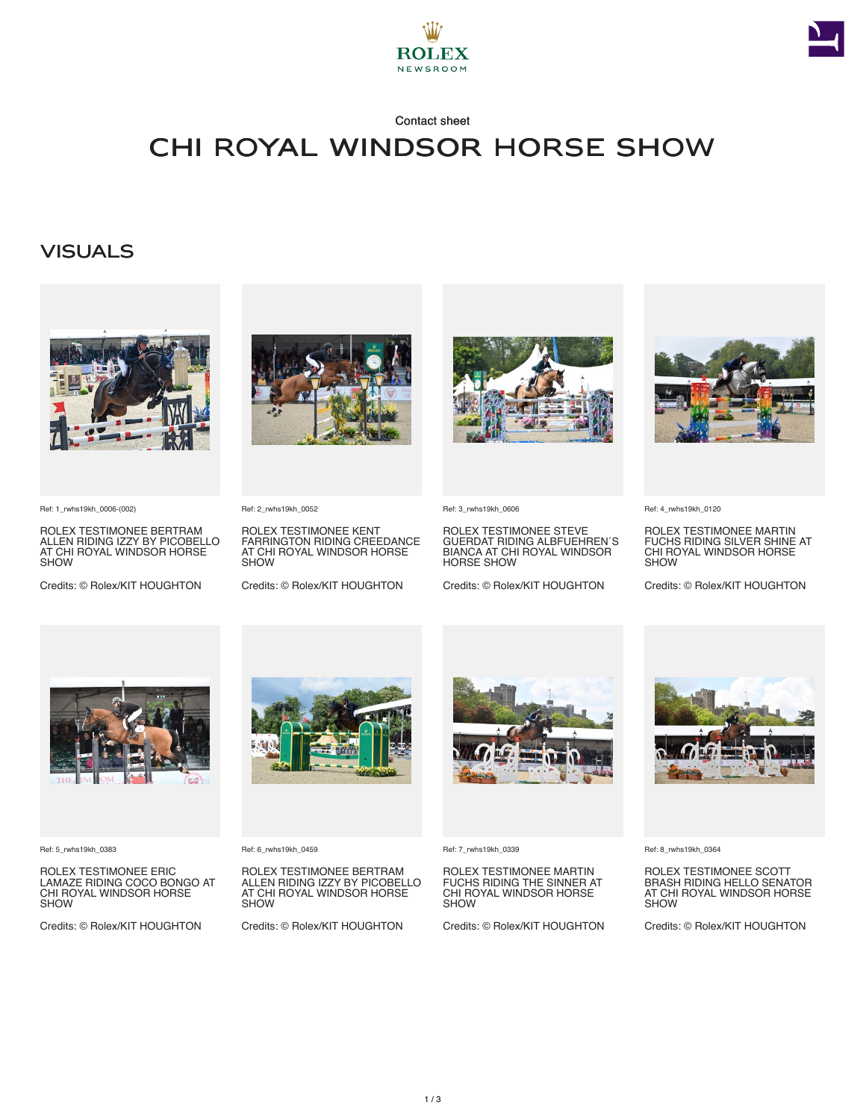



### Contact sheet

# CHI Royal Windsor Horse Show

### **VISUALS**



Ref: 1\_rwhs19kh\_0006-(002)

ROLEX TESTIMONEE BERTRAM ALLEN RIDING IZZY BY PICOBELLO AT CHI ROYAL WINDSOR HORSE **SHOW** 

Credits: © Rolex/KIT HOUGHTON



Ref: 2\_rwhs19kh\_0052

ROLEX TESTIMONEE KENT FARRINGTON RIDING CREEDANCE AT CHI ROYAL WINDSOR HORSE **SHOW** 

Credits: © Rolex/KIT HOUGHTON



Ref: 3\_rwhs19kh\_0606

ROLEX TESTIMONEE STEVE GUERDAT RIDING ALBFUEHREN´S BIANCA AT CHI ROYAL WINDSOR HORSE SHOW

Credits: © Rolex/KIT HOUGHTON



Ref: 4\_rwhs19kh\_0120

ROLEX TESTIMONEE MARTIN FUCHS RIDING SILVER SHINE AT CHI ROYAL WINDSOR HORSE **SHOW** 

Credits: © Rolex/KIT HOUGHTON



Ref: 5\_rwhs19kh\_0383

ROLEX TESTIMONEE ERIC LAMAZE RIDING COCO BONGO AT CHI ROYAL WINDSOR HORSE **SHOW** 

Credits: © Rolex/KIT HOUGHTON



Ref: 6\_rwhs19kh\_0459

ROLEX TESTIMONEE BERTRAM ALLEN RIDING IZZY BY PICOBELLO AT CHI ROYAL WINDSOR HORSE **SHOW** 

Credits: © Rolex/KIT HOUGHTON



Ref: 7\_rwhs19kh\_0339

ROLEX TESTIMONEE MARTIN FUCHS RIDING THE SINNER AT CHI ROYAL WINDSOR HORSE SHOW

Credits: © Rolex/KIT HOUGHTON



Ref: 8\_rwhs19kh\_0364

ROLEX TESTIMONEE SCOTT BRASH RIDING HELLO SENATOR AT CHI ROYAL WINDSOR HORSE SHOW

Credits: © Rolex/KIT HOUGHTON



1 / 3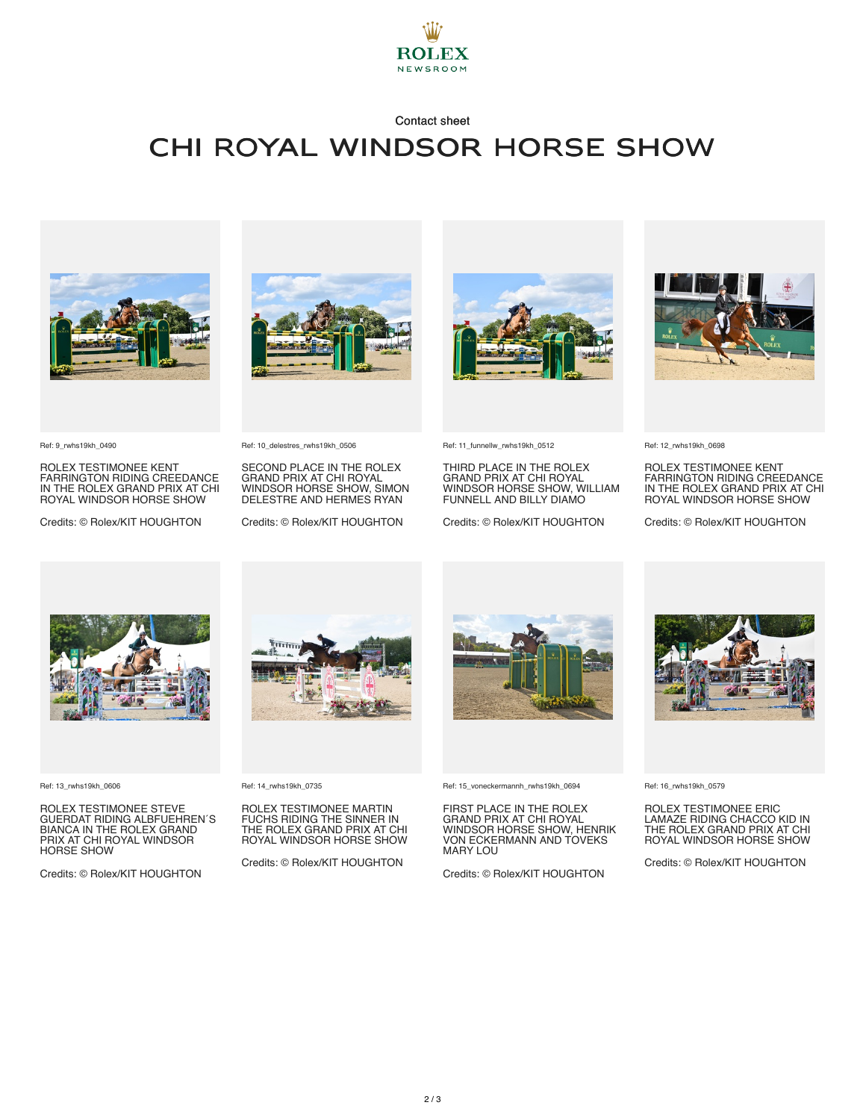

#### Contact sheet

### CHI Royal Windsor Horse Show



ROLEX TESTIMONEE KENT FARRINGTON RIDING CREEDANCE IN THE ROLEX GRAND PRIX AT CHI ROYAL WINDSOR HORSE SHOW Credits: © Rolex/KIT HOUGHTON

Ref: 10\_delestres\_rwhs19kh\_0506

SECOND PLACE IN THE ROLEX GRAND PRIX AT CHI ROYAL WINDSOR HORSE SHOW, SIMON DELESTRE AND HERMES RYAN Credits: © Rolex/KIT HOUGHTON



Ref: 11\_funnellw\_rwhs19kh\_0512

THIRD PLACE IN THE ROLEX GRAND PRIX AT CHI ROYAL WINDSOR HORSE SHOW, WILLIAM FUNNELL AND BILLY DIAMO

Credits: © Rolex/KIT HOUGHTON



Ref: 12\_rwhs19kh\_0698

ROLEX TESTIMONEE KENT FARRINGTON RIDING CREEDANCE IN THE ROLEX GRAND PRIX AT CHI ROYAL WINDSOR HORSE SHOW

Credits: © Rolex/KIT HOUGHTON



Ref: 13\_rwhs19kh\_0606

Ref: 9\_rwhs19kh\_0490

ROLEX TESTIMONEE STEVE GUERDAT RIDING ALBFUEHREN´S BIANCA IN THE ROLEX GRAND PRIX AT CHI ROYAL WINDSOR HORSE SHOW

Credits: © Rolex/KIT HOUGHTON



#### Ref: 14\_rwhs19kh\_0735

ROLEX TESTIMONEE MARTIN FUCHS RIDING THE SINNER IN THE ROLEX GRAND PRIX AT CHI ROYAL WINDSOR HORSE SHOW

Credits: © Rolex/KIT HOUGHTON



Ref: 15\_voneckermannh\_rwhs19kh\_0694

FIRST PLACE IN THE ROLEX GRAND PRIX AT CHI ROYAL WINDSOR HORSE SHOW, HENRIK VON ECKERMANN AND TOVEKS MARY LOU

Credits: © Rolex/KIT HOUGHTON



Ref: 16\_rwhs19kh\_0579

ROLEX TESTIMONEE ERIC LAMAZE RIDING CHACCO KID IN THE ROLEX GRAND PRIX AT CHI ROYAL WINDSOR HORSE SHOW

Credits: © Rolex/KIT HOUGHTON